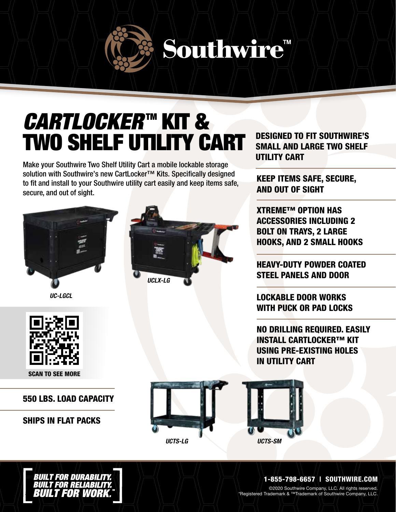# Southwire"

### CARTLOCKER™ KIT & TWO SHELF UTILITY CART

Make your Southwire Two Shelf Utility Cart a mobile lockable storage solution with Southwire's new CartLocker<sup>™</sup> Kits. Specifically designed to fit and install to your Southwire utility cart easily and keep items safe, secure, and out of sight.



UC-LGCL



SCAN TO SEE MORE

#### 550 LBS. LOAD CAPACITY

#### SHIPS IN FLAT PACKS



DESIGNED TO FIT SOUTHWIRE'S SMALL AND LARGE TWO SHELF UTILITY CART

KEEP ITEMS SAFE, SECURE, AND OUT OF SIGHT

XTREME™ OPTION HAS ACCESSORIES INCLUDING 2 BOLT ON TRAYS, 2 LARGE HOOKS, AND 2 SMALL HOOKS

HEAVY-DUTY POWDER COATED STEEL PANELS AND DOOR

LOCKABLE DOOR WORKS WITH PUCK OR PAD LOCKS

NO DRILLING REQUIRED. EASILY INSTALL CARTLOCKER™ KIT USING PRE-EXISTING HOLES IN UTILITY CART



1-855-798-6657 | SOUTHWIRE.COM

©2020 Southwire Company, LLC. All rights reserved. \*Registered Trademark & ™Trademark of Southwire Company, LLC.